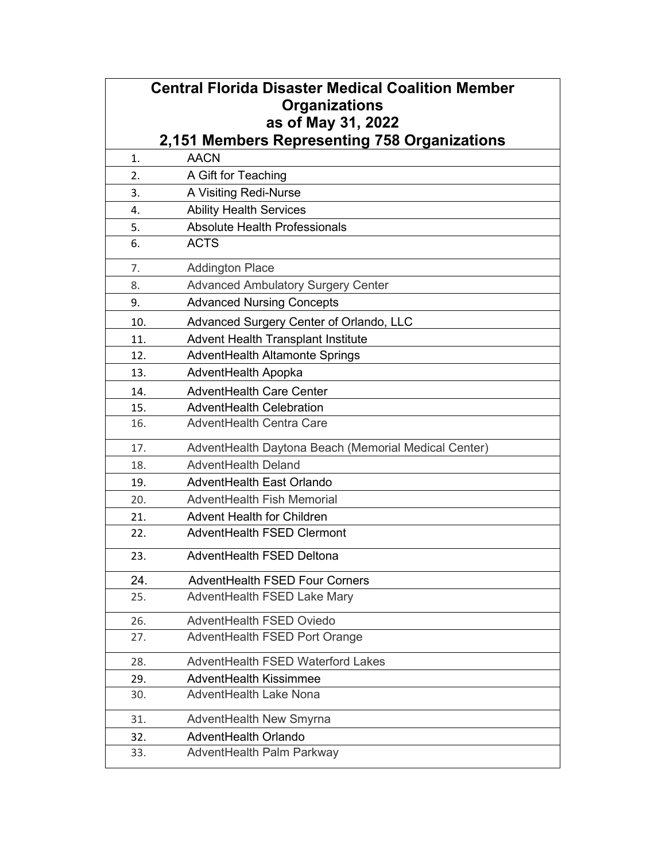| <b>Central Florida Disaster Medical Coalition Member</b> |                                                      |
|----------------------------------------------------------|------------------------------------------------------|
|                                                          | <b>Organizations</b>                                 |
|                                                          | as of May 31, 2022                                   |
|                                                          | 2,151 Members Representing 758 Organizations         |
| 1.                                                       | <b>AACN</b>                                          |
| 2.                                                       | A Gift for Teaching                                  |
| 3.                                                       | A Visiting Redi-Nurse                                |
| 4.                                                       | <b>Ability Health Services</b>                       |
| 5.                                                       | Absolute Health Professionals                        |
| 6.                                                       | <b>ACTS</b>                                          |
| 7.                                                       | <b>Addington Place</b>                               |
| 8.                                                       | <b>Advanced Ambulatory Surgery Center</b>            |
| 9.                                                       | <b>Advanced Nursing Concepts</b>                     |
| 10.                                                      | Advanced Surgery Center of Orlando, LLC              |
| 11.                                                      | <b>Advent Health Transplant Institute</b>            |
| 12.                                                      | AdventHealth Altamonte Springs                       |
| 13.                                                      | AdventHealth Apopka                                  |
| 14.                                                      | <b>AdventHealth Care Center</b>                      |
| 15.                                                      | AdventHealth Celebration                             |
| 16.                                                      | <b>AdventHealth Centra Care</b>                      |
| 17.                                                      | AdventHealth Daytona Beach (Memorial Medical Center) |
| 18.                                                      | AdventHealth Deland                                  |
| 19.                                                      | AdventHealth East Orlando                            |
| 20.                                                      | AdventHealth Fish Memorial                           |
| 21.                                                      | <b>Advent Health for Children</b>                    |
| 22.                                                      | AdventHealth FSED Clermont                           |
| 23.                                                      | <b>AdventHealth FSED Deltona</b>                     |
| 24.                                                      | <b>AdventHealth FSED Four Corners</b>                |
| 25.                                                      | AdventHealth FSED Lake Mary                          |
| 26.                                                      | AdventHealth FSED Oviedo                             |
| 27.                                                      | AdventHealth FSED Port Orange                        |
| 28.                                                      | AdventHealth FSED Waterford Lakes                    |
| 29.                                                      | <b>AdventHealth Kissimmee</b>                        |
| 30.                                                      | AdventHealth Lake Nona                               |
| 31.                                                      | AdventHealth New Smyrna                              |
| 32.                                                      | AdventHealth Orlando                                 |
| 33.                                                      | AdventHealth Palm Parkway                            |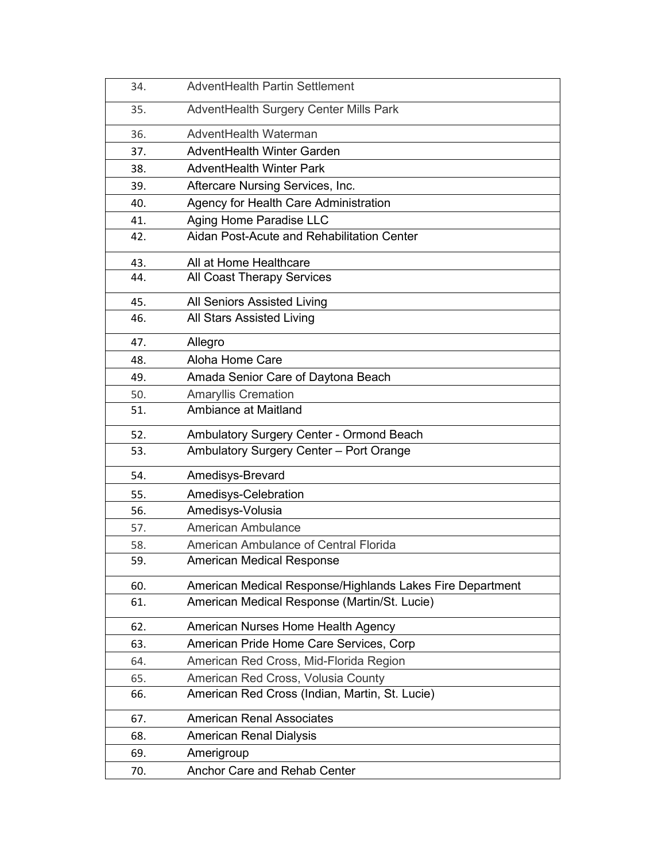| 34. | AdventHealth Partin Settlement                            |
|-----|-----------------------------------------------------------|
| 35. | AdventHealth Surgery Center Mills Park                    |
| 36. | AdventHealth Waterman                                     |
| 37. | AdventHealth Winter Garden                                |
| 38. | <b>AdventHealth Winter Park</b>                           |
| 39. | Aftercare Nursing Services, Inc.                          |
| 40. | Agency for Health Care Administration                     |
| 41. | Aging Home Paradise LLC                                   |
| 42. | Aidan Post-Acute and Rehabilitation Center                |
| 43. | All at Home Healthcare                                    |
| 44. | All Coast Therapy Services                                |
| 45. | All Seniors Assisted Living                               |
| 46. | All Stars Assisted Living                                 |
| 47. | Allegro                                                   |
| 48. | Aloha Home Care                                           |
| 49. | Amada Senior Care of Daytona Beach                        |
| 50. | <b>Amaryllis Cremation</b>                                |
| 51. | Ambiance at Maitland                                      |
| 52. | Ambulatory Surgery Center - Ormond Beach                  |
| 53. | Ambulatory Surgery Center - Port Orange                   |
| 54. | Amedisys-Brevard                                          |
| 55. | Amedisys-Celebration                                      |
| 56. | Amedisys-Volusia                                          |
| 57. | American Ambulance                                        |
| 58. | American Ambulance of Central Florida                     |
| 59. | <b>American Medical Response</b>                          |
| 60. | American Medical Response/Highlands Lakes Fire Department |
| 61. | American Medical Response (Martin/St. Lucie)              |
| 62. | American Nurses Home Health Agency                        |
| 63. | American Pride Home Care Services, Corp                   |
| 64. | American Red Cross, Mid-Florida Region                    |
| 65. | American Red Cross, Volusia County                        |
| 66. | American Red Cross (Indian, Martin, St. Lucie)            |
| 67. | <b>American Renal Associates</b>                          |
| 68. | <b>American Renal Dialysis</b>                            |
| 69. | Amerigroup                                                |
| 70. | Anchor Care and Rehab Center                              |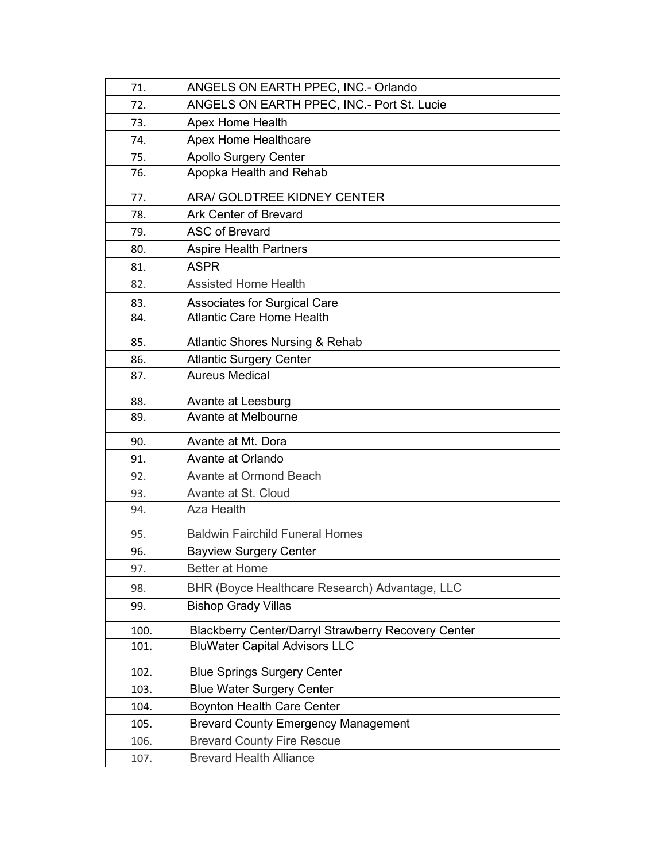| 71.  | ANGELS ON EARTH PPEC, INC.- Orlando                        |
|------|------------------------------------------------------------|
| 72.  | ANGELS ON EARTH PPEC, INC.- Port St. Lucie                 |
| 73.  | Apex Home Health                                           |
| 74.  | <b>Apex Home Healthcare</b>                                |
| 75.  | <b>Apollo Surgery Center</b>                               |
| 76.  | Apopka Health and Rehab                                    |
| 77.  | ARA/ GOLDTREE KIDNEY CENTER                                |
| 78.  | <b>Ark Center of Brevard</b>                               |
| 79.  | <b>ASC of Brevard</b>                                      |
| 80.  | <b>Aspire Health Partners</b>                              |
| 81.  | <b>ASPR</b>                                                |
| 82.  | <b>Assisted Home Health</b>                                |
| 83.  | <b>Associates for Surgical Care</b>                        |
| 84.  | <b>Atlantic Care Home Health</b>                           |
| 85.  | <b>Atlantic Shores Nursing &amp; Rehab</b>                 |
| 86.  | <b>Atlantic Surgery Center</b>                             |
| 87.  | <b>Aureus Medical</b>                                      |
| 88.  | Avante at Leesburg                                         |
| 89.  | Avante at Melbourne                                        |
| 90.  | Avante at Mt. Dora                                         |
| 91.  | Avante at Orlando                                          |
| 92.  | Avante at Ormond Beach                                     |
| 93.  | Avante at St. Cloud                                        |
| 94.  | Aza Health                                                 |
| 95.  | <b>Baldwin Fairchild Funeral Homes</b>                     |
| 96.  | <b>Bayview Surgery Center</b>                              |
| 97.  | Better at Home                                             |
| 98.  | BHR (Boyce Healthcare Research) Advantage, LLC             |
| 99.  | <b>Bishop Grady Villas</b>                                 |
| 100. | <b>Blackberry Center/Darryl Strawberry Recovery Center</b> |
| 101. | <b>BluWater Capital Advisors LLC</b>                       |
| 102. | <b>Blue Springs Surgery Center</b>                         |
| 103. | <b>Blue Water Surgery Center</b>                           |
| 104. | <b>Boynton Health Care Center</b>                          |
| 105. | <b>Brevard County Emergency Management</b>                 |
| 106. |                                                            |
|      | <b>Brevard County Fire Rescue</b>                          |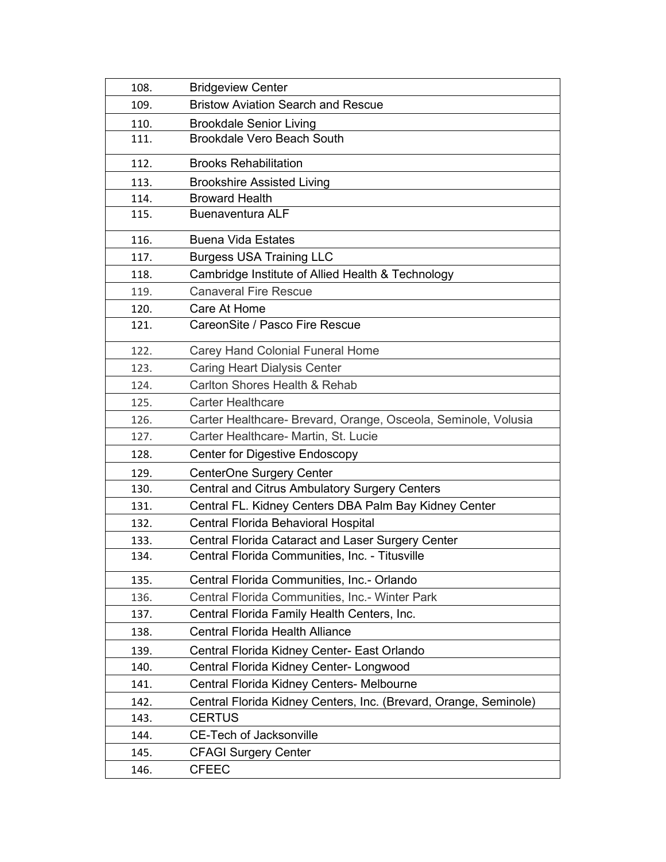| 108. | <b>Bridgeview Center</b>                                         |
|------|------------------------------------------------------------------|
| 109. | <b>Bristow Aviation Search and Rescue</b>                        |
| 110. | <b>Brookdale Senior Living</b>                                   |
| 111. | <b>Brookdale Vero Beach South</b>                                |
| 112. | <b>Brooks Rehabilitation</b>                                     |
| 113. | <b>Brookshire Assisted Living</b>                                |
| 114. | <b>Broward Health</b>                                            |
| 115. | <b>Buenaventura ALF</b>                                          |
| 116. | <b>Buena Vida Estates</b>                                        |
| 117. | <b>Burgess USA Training LLC</b>                                  |
| 118. | Cambridge Institute of Allied Health & Technology                |
| 119. | <b>Canaveral Fire Rescue</b>                                     |
| 120. | Care At Home                                                     |
| 121. | CareonSite / Pasco Fire Rescue                                   |
| 122. | <b>Carey Hand Colonial Funeral Home</b>                          |
| 123. | <b>Caring Heart Dialysis Center</b>                              |
| 124. | Carlton Shores Health & Rehab                                    |
| 125. | <b>Carter Healthcare</b>                                         |
| 126. | Carter Healthcare- Brevard, Orange, Osceola, Seminole, Volusia   |
| 127. | Carter Healthcare- Martin, St. Lucie                             |
| 128. | <b>Center for Digestive Endoscopy</b>                            |
| 129. | CenterOne Surgery Center                                         |
| 130. | <b>Central and Citrus Ambulatory Surgery Centers</b>             |
| 131. | Central FL. Kidney Centers DBA Palm Bay Kidney Center            |
| 132. | Central Florida Behavioral Hospital                              |
| 133. | Central Florida Cataract and Laser Surgery Center                |
| 134. | Central Florida Communities, Inc. - Titusville                   |
| 135. | Central Florida Communities, Inc.- Orlando                       |
| 136. | Central Florida Communities, Inc.- Winter Park                   |
| 137. | Central Florida Family Health Centers, Inc.                      |
| 138. | <b>Central Florida Health Alliance</b>                           |
| 139. | Central Florida Kidney Center- East Orlando                      |
| 140. | Central Florida Kidney Center- Longwood                          |
| 141. | Central Florida Kidney Centers- Melbourne                        |
| 142. | Central Florida Kidney Centers, Inc. (Brevard, Orange, Seminole) |
| 143. | <b>CERTUS</b>                                                    |
| 144. | <b>CE-Tech of Jacksonville</b>                                   |
| 145. | <b>CFAGI Surgery Center</b>                                      |
| 146. | <b>CFEEC</b>                                                     |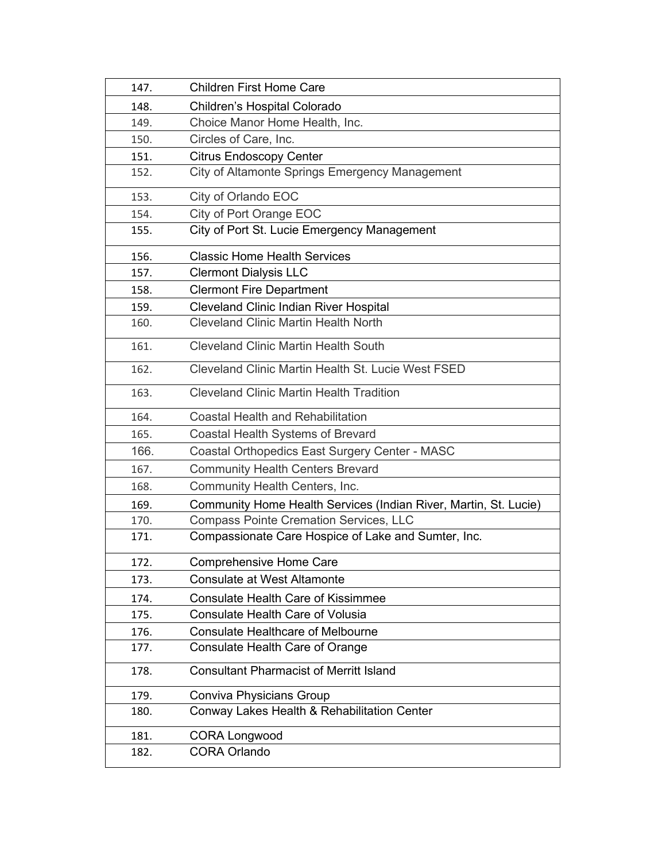| 147. | <b>Children First Home Care</b>                                  |
|------|------------------------------------------------------------------|
| 148. | Children's Hospital Colorado                                     |
| 149. | Choice Manor Home Health, Inc.                                   |
| 150. | Circles of Care, Inc.                                            |
| 151. | <b>Citrus Endoscopy Center</b>                                   |
| 152. | City of Altamonte Springs Emergency Management                   |
| 153. | City of Orlando EOC                                              |
| 154. | City of Port Orange EOC                                          |
| 155. | City of Port St. Lucie Emergency Management                      |
| 156. | <b>Classic Home Health Services</b>                              |
| 157. | <b>Clermont Dialysis LLC</b>                                     |
| 158. | <b>Clermont Fire Department</b>                                  |
| 159. | <b>Cleveland Clinic Indian River Hospital</b>                    |
| 160. | <b>Cleveland Clinic Martin Health North</b>                      |
| 161. | <b>Cleveland Clinic Martin Health South</b>                      |
| 162. | Cleveland Clinic Martin Health St. Lucie West FSED               |
| 163. | <b>Cleveland Clinic Martin Health Tradition</b>                  |
| 164. | <b>Coastal Health and Rehabilitation</b>                         |
| 165. | Coastal Health Systems of Brevard                                |
| 166. | Coastal Orthopedics East Surgery Center - MASC                   |
| 167. | <b>Community Health Centers Brevard</b>                          |
| 168. | Community Health Centers, Inc.                                   |
| 169. | Community Home Health Services (Indian River, Martin, St. Lucie) |
| 170. | <b>Compass Pointe Cremation Services, LLC</b>                    |
| 171. | Compassionate Care Hospice of Lake and Sumter, Inc.              |
| 172. | <b>Comprehensive Home Care</b>                                   |
| 173. | <b>Consulate at West Altamonte</b>                               |
| 174. | <b>Consulate Health Care of Kissimmee</b>                        |
| 175. | <b>Consulate Health Care of Volusia</b>                          |
| 176. | <b>Consulate Healthcare of Melbourne</b>                         |
| 177. | <b>Consulate Health Care of Orange</b>                           |
| 178. | <b>Consultant Pharmacist of Merritt Island</b>                   |
| 179. | Conviva Physicians Group                                         |
| 180. | Conway Lakes Health & Rehabilitation Center                      |
| 181. | <b>CORA Longwood</b>                                             |
| 182. | <b>CORA Orlando</b>                                              |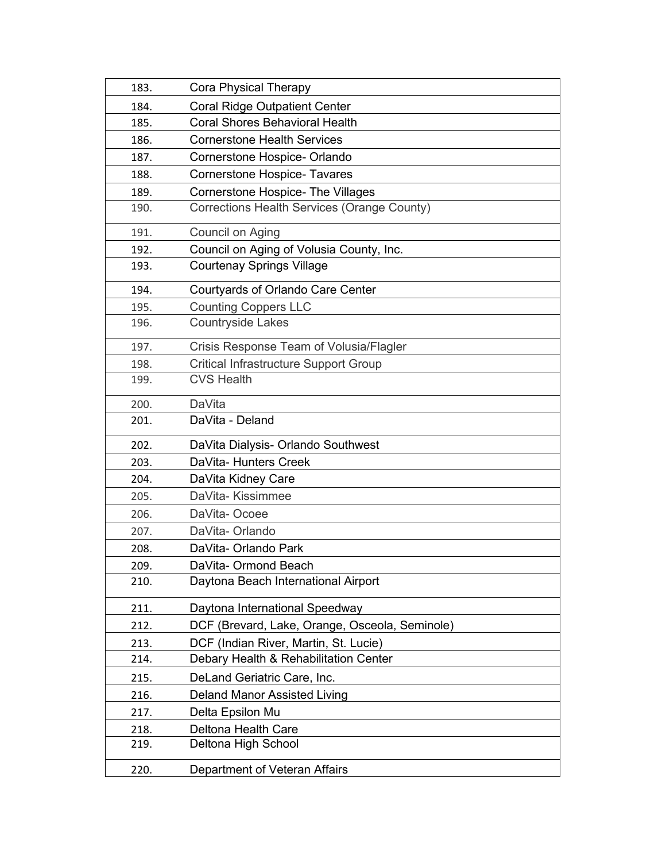| 183. | Cora Physical Therapy                          |
|------|------------------------------------------------|
| 184. | <b>Coral Ridge Outpatient Center</b>           |
| 185. | <b>Coral Shores Behavioral Health</b>          |
| 186. | <b>Cornerstone Health Services</b>             |
| 187. | Cornerstone Hospice- Orlando                   |
| 188. | <b>Cornerstone Hospice- Tavares</b>            |
| 189. | <b>Cornerstone Hospice- The Villages</b>       |
| 190. | Corrections Health Services (Orange County)    |
| 191. | Council on Aging                               |
| 192. | Council on Aging of Volusia County, Inc.       |
| 193. | <b>Courtenay Springs Village</b>               |
| 194. | Courtyards of Orlando Care Center              |
| 195. | <b>Counting Coppers LLC</b>                    |
| 196. | <b>Countryside Lakes</b>                       |
| 197. | Crisis Response Team of Volusia/Flagler        |
| 198. | <b>Critical Infrastructure Support Group</b>   |
| 199. | <b>CVS Health</b>                              |
| 200. | DaVita                                         |
| 201. | DaVita - Deland                                |
| 202. | DaVita Dialysis- Orlando Southwest             |
| 203. | DaVita- Hunters Creek                          |
| 204. | DaVita Kidney Care                             |
| 205. | DaVita-Kissimmee                               |
| 206. | DaVita-Ocoee                                   |
| 207. | DaVita-Orlando                                 |
| 208. | DaVita- Orlando Park                           |
| 209. | DaVita- Ormond Beach                           |
| 210. | Daytona Beach International Airport            |
| 211. | Daytona International Speedway                 |
| 212. | DCF (Brevard, Lake, Orange, Osceola, Seminole) |
| 213. | DCF (Indian River, Martin, St. Lucie)          |
| 214. | Debary Health & Rehabilitation Center          |
| 215. | DeLand Geriatric Care, Inc.                    |
| 216. | <b>Deland Manor Assisted Living</b>            |
| 217. | Delta Epsilon Mu                               |
| 218. | Deltona Health Care                            |
| 219. | Deltona High School                            |
| 220. | Department of Veteran Affairs                  |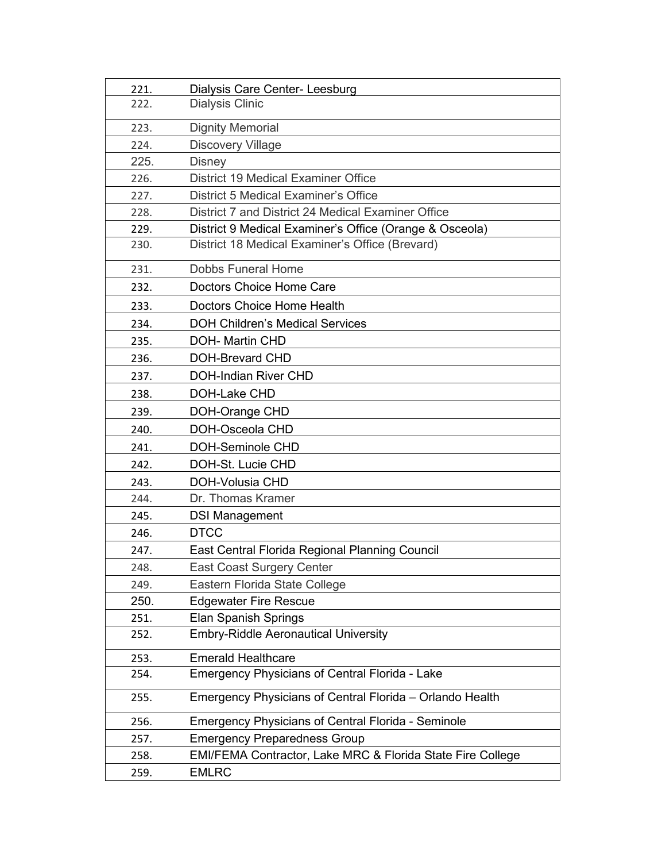| 221. | Dialysis Care Center- Leesburg                             |
|------|------------------------------------------------------------|
| 222. | <b>Dialysis Clinic</b>                                     |
| 223. | <b>Dignity Memorial</b>                                    |
| 224. | <b>Discovery Village</b>                                   |
| 225. | <b>Disney</b>                                              |
| 226. | <b>District 19 Medical Examiner Office</b>                 |
| 227. | <b>District 5 Medical Examiner's Office</b>                |
| 228. | District 7 and District 24 Medical Examiner Office         |
| 229. | District 9 Medical Examiner's Office (Orange & Osceola)    |
| 230. | District 18 Medical Examiner's Office (Brevard)            |
| 231. | <b>Dobbs Funeral Home</b>                                  |
| 232. | Doctors Choice Home Care                                   |
| 233. | Doctors Choice Home Health                                 |
| 234. | <b>DOH Children's Medical Services</b>                     |
| 235. | <b>DOH- Martin CHD</b>                                     |
| 236. | <b>DOH-Brevard CHD</b>                                     |
| 237. | <b>DOH-Indian River CHD</b>                                |
| 238. | DOH-Lake CHD                                               |
| 239. | DOH-Orange CHD                                             |
| 240. | DOH-Osceola CHD                                            |
| 241. | <b>DOH-Seminole CHD</b>                                    |
| 242. | DOH-St. Lucie CHD                                          |
| 243. | <b>DOH-Volusia CHD</b>                                     |
| 244. | Dr. Thomas Kramer                                          |
| 245. | <b>DSI Management</b>                                      |
| 246. | <b>DTCC</b>                                                |
| 247. | East Central Florida Regional Planning Council             |
| 248. | East Coast Surgery Center                                  |
| 249. | Eastern Florida State College                              |
| 250. | <b>Edgewater Fire Rescue</b>                               |
| 251. | <b>Elan Spanish Springs</b>                                |
| 252. | <b>Embry-Riddle Aeronautical University</b>                |
| 253. | <b>Emerald Healthcare</b>                                  |
| 254. | <b>Emergency Physicians of Central Florida - Lake</b>      |
| 255. | Emergency Physicians of Central Florida - Orlando Health   |
| 256. | <b>Emergency Physicians of Central Florida - Seminole</b>  |
| 257. | <b>Emergency Preparedness Group</b>                        |
| 258. | EMI/FEMA Contractor, Lake MRC & Florida State Fire College |
| 259. | <b>EMLRC</b>                                               |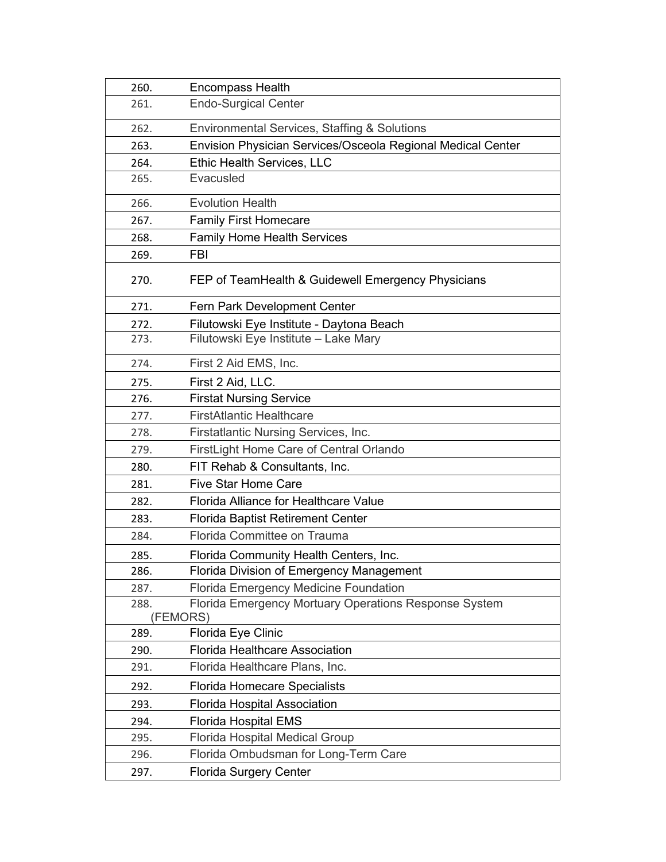| 260.     | <b>Encompass Health</b>                                     |
|----------|-------------------------------------------------------------|
| 261.     | <b>Endo-Surgical Center</b>                                 |
| 262.     | <b>Environmental Services, Staffing &amp; Solutions</b>     |
| 263.     | Envision Physician Services/Osceola Regional Medical Center |
| 264.     | Ethic Health Services, LLC                                  |
| 265.     | Evacusled                                                   |
| 266.     | <b>Evolution Health</b>                                     |
| 267.     | <b>Family First Homecare</b>                                |
| 268.     | <b>Family Home Health Services</b>                          |
| 269.     | <b>FBI</b>                                                  |
| 270.     | FEP of TeamHealth & Guidewell Emergency Physicians          |
| 271.     | Fern Park Development Center                                |
| 272.     | Filutowski Eye Institute - Daytona Beach                    |
| 273.     | Filutowski Eye Institute - Lake Mary                        |
| 274.     | First 2 Aid EMS, Inc.                                       |
| 275.     | First 2 Aid, LLC.                                           |
| 276.     | <b>Firstat Nursing Service</b>                              |
| 277.     | <b>FirstAtlantic Healthcare</b>                             |
| 278.     | Firstatlantic Nursing Services, Inc.                        |
| 279.     | FirstLight Home Care of Central Orlando                     |
| 280.     | FIT Rehab & Consultants, Inc.                               |
| 281.     | <b>Five Star Home Care</b>                                  |
| 282.     | Florida Alliance for Healthcare Value                       |
| 283.     | <b>Florida Baptist Retirement Center</b>                    |
| 284.     | Florida Committee on Trauma                                 |
| 285.     | Florida Community Health Centers, Inc.                      |
| 286.     | Florida Division of Emergency Management                    |
| 287.     | <b>Florida Emergency Medicine Foundation</b>                |
| 288.     | Florida Emergency Mortuary Operations Response System       |
| (FEMORS) |                                                             |
| 289.     | Florida Eye Clinic                                          |
| 290.     | <b>Florida Healthcare Association</b>                       |
| 291.     | Florida Healthcare Plans, Inc.                              |
| 292.     | <b>Florida Homecare Specialists</b>                         |
| 293.     | <b>Florida Hospital Association</b>                         |
| 294.     | <b>Florida Hospital EMS</b>                                 |
| 295.     | <b>Florida Hospital Medical Group</b>                       |
| 296.     | Florida Ombudsman for Long-Term Care                        |
| 297.     | <b>Florida Surgery Center</b>                               |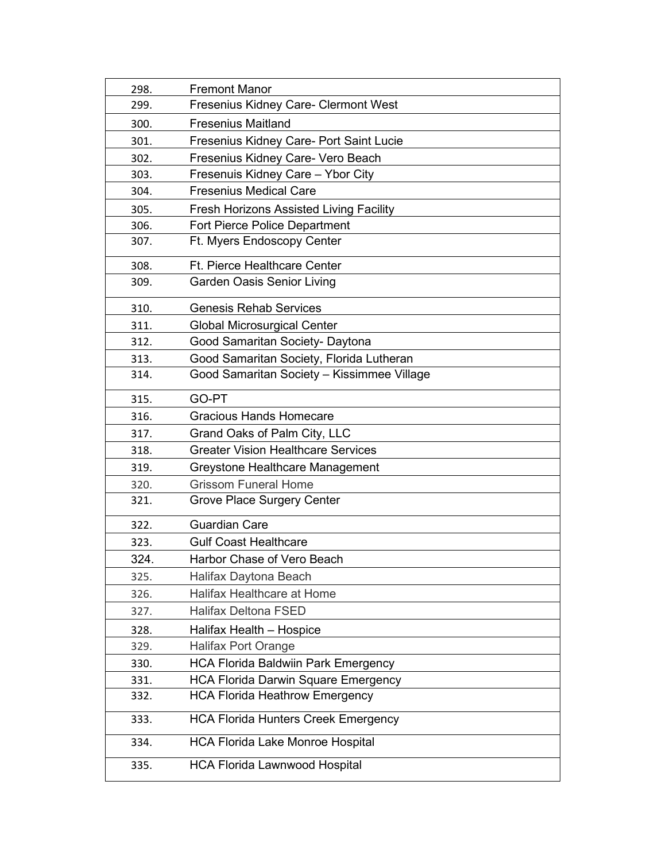| 298. | <b>Fremont Manor</b>                           |
|------|------------------------------------------------|
| 299. | Fresenius Kidney Care- Clermont West           |
| 300. | <b>Fresenius Maitland</b>                      |
| 301. | <b>Fresenius Kidney Care- Port Saint Lucie</b> |
| 302. | Fresenius Kidney Care- Vero Beach              |
| 303. | Fresenuis Kidney Care - Ybor City              |
| 304. | <b>Fresenius Medical Care</b>                  |
| 305. | <b>Fresh Horizons Assisted Living Facility</b> |
| 306. | <b>Fort Pierce Police Department</b>           |
| 307. | Ft. Myers Endoscopy Center                     |
| 308. | <b>Ft. Pierce Healthcare Center</b>            |
| 309. | <b>Garden Oasis Senior Living</b>              |
| 310. | <b>Genesis Rehab Services</b>                  |
| 311. | <b>Global Microsurgical Center</b>             |
| 312. | Good Samaritan Society- Daytona                |
| 313. | Good Samaritan Society, Florida Lutheran       |
| 314. | Good Samaritan Society - Kissimmee Village     |
| 315. | GO-PT                                          |
| 316. | <b>Gracious Hands Homecare</b>                 |
| 317. | Grand Oaks of Palm City, LLC                   |
| 318. | <b>Greater Vision Healthcare Services</b>      |
| 319. | Greystone Healthcare Management                |
| 320. | <b>Grissom Funeral Home</b>                    |
| 321. | Grove Place Surgery Center                     |
| 322. | <b>Guardian Care</b>                           |
| 323. | <b>Gulf Coast Healthcare</b>                   |
| 324. | Harbor Chase of Vero Beach                     |
| 325. | Halifax Daytona Beach                          |
| 326. | <b>Halifax Healthcare at Home</b>              |
| 327. | <b>Halifax Deltona FSED</b>                    |
| 328. | Halifax Health - Hospice                       |
| 329. | Halifax Port Orange                            |
| 330. | <b>HCA Florida Baldwiin Park Emergency</b>     |
| 331. | <b>HCA Florida Darwin Square Emergency</b>     |
| 332. | <b>HCA Florida Heathrow Emergency</b>          |
| 333. | <b>HCA Florida Hunters Creek Emergency</b>     |
| 334. | <b>HCA Florida Lake Monroe Hospital</b>        |
| 335. | <b>HCA Florida Lawnwood Hospital</b>           |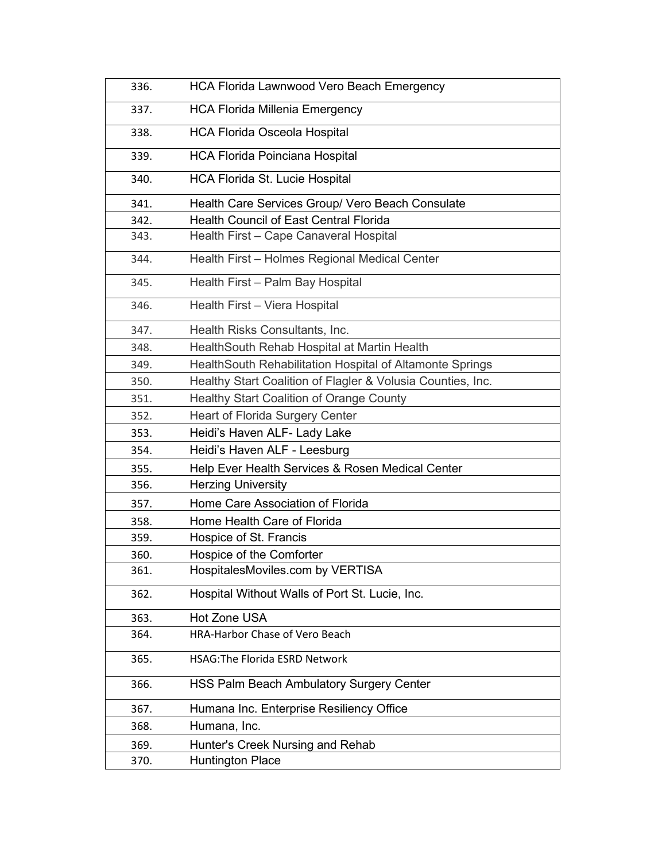| 336. | <b>HCA Florida Lawnwood Vero Beach Emergency</b>            |
|------|-------------------------------------------------------------|
| 337. | <b>HCA Florida Millenia Emergency</b>                       |
| 338. | <b>HCA Florida Osceola Hospital</b>                         |
| 339. | <b>HCA Florida Poinciana Hospital</b>                       |
| 340. | <b>HCA Florida St. Lucie Hospital</b>                       |
| 341. | Health Care Services Group/ Vero Beach Consulate            |
| 342. | <b>Health Council of East Central Florida</b>               |
| 343. | Health First - Cape Canaveral Hospital                      |
| 344. | Health First - Holmes Regional Medical Center               |
| 345. | Health First - Palm Bay Hospital                            |
| 346. | Health First - Viera Hospital                               |
| 347. | Health Risks Consultants, Inc.                              |
| 348. | HealthSouth Rehab Hospital at Martin Health                 |
| 349. | HealthSouth Rehabilitation Hospital of Altamonte Springs    |
| 350. | Healthy Start Coalition of Flagler & Volusia Counties, Inc. |
| 351. | Healthy Start Coalition of Orange County                    |
| 352. | <b>Heart of Florida Surgery Center</b>                      |
| 353. | Heidi's Haven ALF- Lady Lake                                |
| 354. | Heidi's Haven ALF - Leesburg                                |
| 355. | Help Ever Health Services & Rosen Medical Center            |
| 356. | <b>Herzing University</b>                                   |
| 357. | Home Care Association of Florida                            |
| 358. | Home Health Care of Florida                                 |
| 359. | Hospice of St. Francis                                      |
| 360. | Hospice of the Comforter                                    |
| 361. | HospitalesMoviles.com by VERTISA                            |
| 362. | Hospital Without Walls of Port St. Lucie, Inc.              |
| 363. | <b>Hot Zone USA</b>                                         |
| 364. | <b>HRA-Harbor Chase of Vero Beach</b>                       |
| 365. | <b>HSAG: The Florida ESRD Network</b>                       |
| 366. | <b>HSS Palm Beach Ambulatory Surgery Center</b>             |
| 367. | Humana Inc. Enterprise Resiliency Office                    |
| 368. | Humana, Inc.                                                |
| 369. | Hunter's Creek Nursing and Rehab                            |
| 370. | <b>Huntington Place</b>                                     |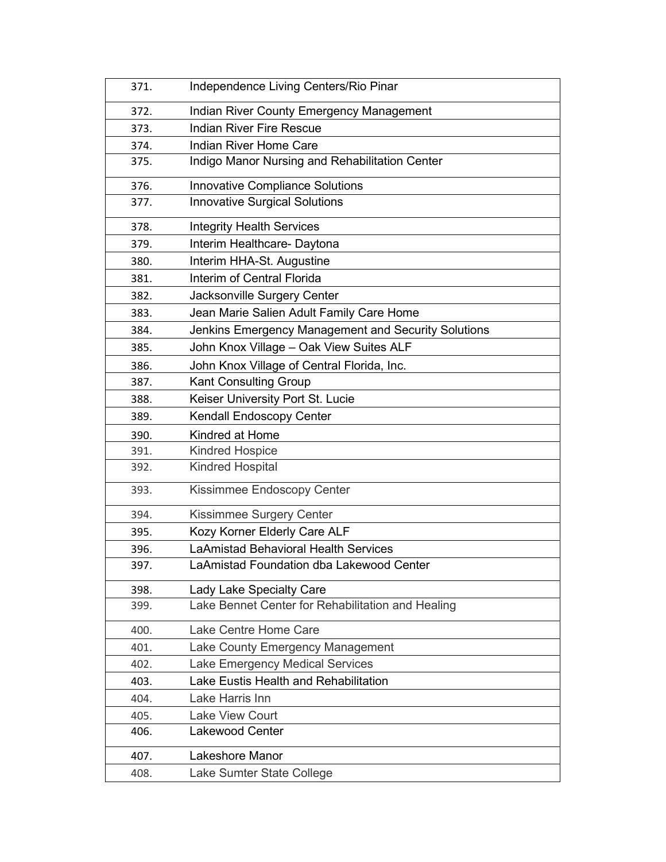| 371. | Independence Living Centers/Rio Pinar               |
|------|-----------------------------------------------------|
| 372. | <b>Indian River County Emergency Management</b>     |
| 373. | <b>Indian River Fire Rescue</b>                     |
| 374. | <b>Indian River Home Care</b>                       |
| 375. | Indigo Manor Nursing and Rehabilitation Center      |
| 376. | <b>Innovative Compliance Solutions</b>              |
| 377. | <b>Innovative Surgical Solutions</b>                |
| 378. | <b>Integrity Health Services</b>                    |
| 379. | Interim Healthcare- Daytona                         |
| 380. | Interim HHA-St. Augustine                           |
| 381. | Interim of Central Florida                          |
| 382. | Jacksonville Surgery Center                         |
| 383. | Jean Marie Salien Adult Family Care Home            |
| 384. | Jenkins Emergency Management and Security Solutions |
| 385. | John Knox Village - Oak View Suites ALF             |
| 386. | John Knox Village of Central Florida, Inc.          |
| 387. | Kant Consulting Group                               |
| 388. | Keiser University Port St. Lucie                    |
| 389. | <b>Kendall Endoscopy Center</b>                     |
| 390. | Kindred at Home                                     |
| 391. | <b>Kindred Hospice</b>                              |
| 392. | <b>Kindred Hospital</b>                             |
| 393. | Kissimmee Endoscopy Center                          |
| 394. | Kissimmee Surgery Center                            |
| 395. | Kozy Korner Elderly Care ALF                        |
| 396. | <b>LaAmistad Behavioral Health Services</b>         |
| 397. | LaAmistad Foundation dba Lakewood Center            |
| 398. | Lady Lake Specialty Care                            |
| 399. | Lake Bennet Center for Rehabilitation and Healing   |
| 400. | Lake Centre Home Care                               |
| 401. | Lake County Emergency Management                    |
| 402. | Lake Emergency Medical Services                     |
| 403. | Lake Eustis Health and Rehabilitation               |
| 404. | Lake Harris Inn                                     |
| 405. | <b>Lake View Court</b>                              |
| 406. | Lakewood Center                                     |
| 407. | Lakeshore Manor                                     |
| 408. | Lake Sumter State College                           |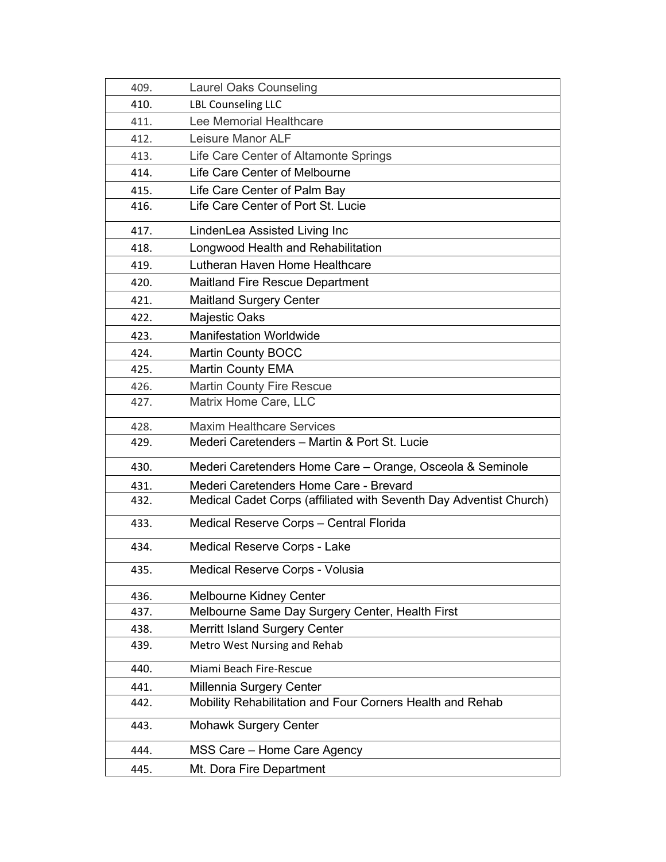| 409. | <b>Laurel Oaks Counseling</b>                                      |
|------|--------------------------------------------------------------------|
| 410. | <b>LBL Counseling LLC</b>                                          |
| 411. | Lee Memorial Healthcare                                            |
| 412. | Leisure Manor ALF                                                  |
| 413. | Life Care Center of Altamonte Springs                              |
| 414. | Life Care Center of Melbourne                                      |
| 415. | Life Care Center of Palm Bay                                       |
| 416. | Life Care Center of Port St. Lucie                                 |
| 417. | LindenLea Assisted Living Inc                                      |
| 418. | Longwood Health and Rehabilitation                                 |
| 419. | Lutheran Haven Home Healthcare                                     |
| 420. | <b>Maitland Fire Rescue Department</b>                             |
| 421. | <b>Maitland Surgery Center</b>                                     |
| 422. | Majestic Oaks                                                      |
| 423. | <b>Manifestation Worldwide</b>                                     |
| 424. | <b>Martin County BOCC</b>                                          |
| 425. | <b>Martin County EMA</b>                                           |
| 426. | <b>Martin County Fire Rescue</b>                                   |
| 427. | Matrix Home Care, LLC                                              |
| 428. | <b>Maxim Healthcare Services</b>                                   |
| 429. | Mederi Caretenders - Martin & Port St. Lucie                       |
| 430. | Mederi Caretenders Home Care - Orange, Osceola & Seminole          |
| 431. | Mederi Caretenders Home Care - Brevard                             |
| 432. | Medical Cadet Corps (affiliated with Seventh Day Adventist Church) |
| 433. | Medical Reserve Corps - Central Florida                            |
| 434. | Medical Reserve Corps - Lake                                       |
| 435. | Medical Reserve Corps - Volusia                                    |
| 436. | <b>Melbourne Kidney Center</b>                                     |
| 437. | Melbourne Same Day Surgery Center, Health First                    |
| 438. | <b>Merritt Island Surgery Center</b>                               |
| 439. | Metro West Nursing and Rehab                                       |
| 440. | Miami Beach Fire-Rescue                                            |
| 441. | Millennia Surgery Center                                           |
| 442. | Mobility Rehabilitation and Four Corners Health and Rehab          |
| 443. | <b>Mohawk Surgery Center</b>                                       |
| 444. | MSS Care - Home Care Agency                                        |
| 445. | Mt. Dora Fire Department                                           |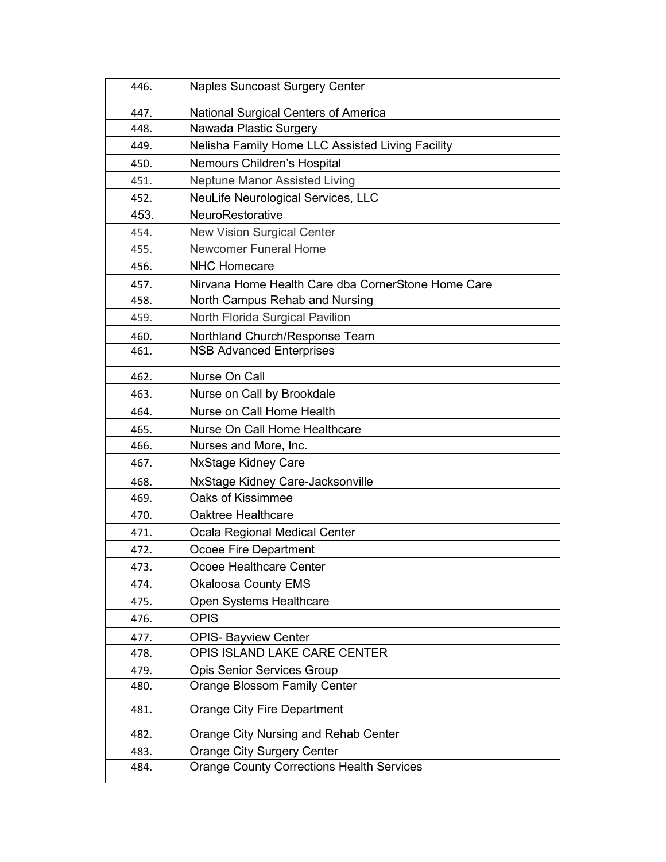| 446. | <b>Naples Suncoast Surgery Center</b>              |
|------|----------------------------------------------------|
| 447. | National Surgical Centers of America               |
| 448. | Nawada Plastic Surgery                             |
| 449. | Nelisha Family Home LLC Assisted Living Facility   |
| 450. | Nemours Children's Hospital                        |
| 451. | <b>Neptune Manor Assisted Living</b>               |
| 452. | NeuLife Neurological Services, LLC                 |
| 453. | NeuroRestorative                                   |
| 454. | <b>New Vision Surgical Center</b>                  |
| 455. | <b>Newcomer Funeral Home</b>                       |
| 456. | <b>NHC Homecare</b>                                |
| 457. | Nirvana Home Health Care dba CornerStone Home Care |
| 458. | North Campus Rehab and Nursing                     |
| 459. | North Florida Surgical Pavilion                    |
| 460. | Northland Church/Response Team                     |
| 461. | <b>NSB Advanced Enterprises</b>                    |
| 462. | Nurse On Call                                      |
| 463. | Nurse on Call by Brookdale                         |
| 464. | Nurse on Call Home Health                          |
| 465. | Nurse On Call Home Healthcare                      |
| 466. | Nurses and More, Inc.                              |
| 467. | <b>NxStage Kidney Care</b>                         |
| 468. | NxStage Kidney Care-Jacksonville                   |
| 469. | Oaks of Kissimmee                                  |
| 470. | Oaktree Healthcare                                 |
| 471. | Ocala Regional Medical Center                      |
| 472. | Ocoee Fire Department                              |
| 473. | Ocoee Healthcare Center                            |
| 474. | <b>Okaloosa County EMS</b>                         |
| 475. | Open Systems Healthcare                            |
| 476. | <b>OPIS</b>                                        |
| 477. | <b>OPIS- Bayview Center</b>                        |
| 478. | OPIS ISLAND LAKE CARE CENTER                       |
| 479. | <b>Opis Senior Services Group</b>                  |
| 480. | Orange Blossom Family Center                       |
| 481. | <b>Orange City Fire Department</b>                 |
| 482. | Orange City Nursing and Rehab Center               |
| 483. | <b>Orange City Surgery Center</b>                  |
| 484. | <b>Orange County Corrections Health Services</b>   |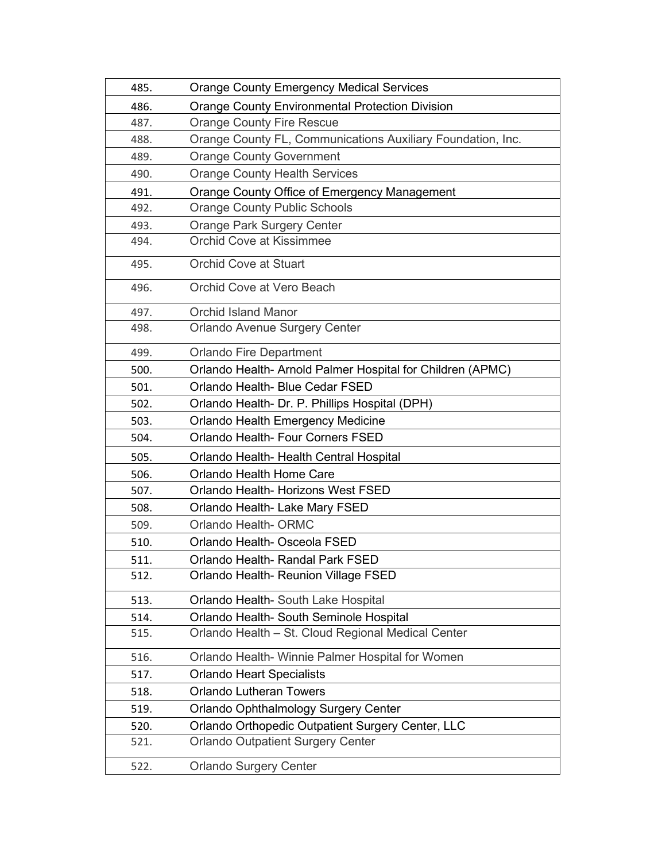| 485. | <b>Orange County Emergency Medical Services</b>             |
|------|-------------------------------------------------------------|
| 486. | <b>Orange County Environmental Protection Division</b>      |
| 487. | <b>Orange County Fire Rescue</b>                            |
| 488. | Orange County FL, Communications Auxiliary Foundation, Inc. |
| 489. | <b>Orange County Government</b>                             |
| 490. | <b>Orange County Health Services</b>                        |
| 491. | Orange County Office of Emergency Management                |
| 492. | <b>Orange County Public Schools</b>                         |
| 493. | <b>Orange Park Surgery Center</b>                           |
| 494. | <b>Orchid Cove at Kissimmee</b>                             |
| 495. | <b>Orchid Cove at Stuart</b>                                |
| 496. | Orchid Cove at Vero Beach                                   |
| 497. | <b>Orchid Island Manor</b>                                  |
| 498. | Orlando Avenue Surgery Center                               |
| 499. | <b>Orlando Fire Department</b>                              |
| 500. | Orlando Health-Arnold Palmer Hospital for Children (APMC)   |
| 501. | Orlando Health- Blue Cedar FSED                             |
| 502. | Orlando Health- Dr. P. Phillips Hospital (DPH)              |
| 503. | <b>Orlando Health Emergency Medicine</b>                    |
| 504. | Orlando Health- Four Corners FSED                           |
| 505. | Orlando Health- Health Central Hospital                     |
| 506. | Orlando Health Home Care                                    |
| 507. | Orlando Health- Horizons West FSED                          |
| 508. | Orlando Health- Lake Mary FSED                              |
| 509. | Orlando Health- ORMC                                        |
| 510. | Orlando Health- Osceola FSED                                |
| 511. | Orlando Health- Randal Park FSED                            |
| 512. | Orlando Health- Reunion Village FSED                        |
| 513. | Orlando Health- South Lake Hospital                         |
| 514. | Orlando Health- South Seminole Hospital                     |
| 515. | Orlando Health - St. Cloud Regional Medical Center          |
| 516. | Orlando Health- Winnie Palmer Hospital for Women            |
| 517. | <b>Orlando Heart Specialists</b>                            |
| 518. | <b>Orlando Lutheran Towers</b>                              |
| 519. | Orlando Ophthalmology Surgery Center                        |
| 520. | Orlando Orthopedic Outpatient Surgery Center, LLC           |
| 521. | <b>Orlando Outpatient Surgery Center</b>                    |
| 522. | <b>Orlando Surgery Center</b>                               |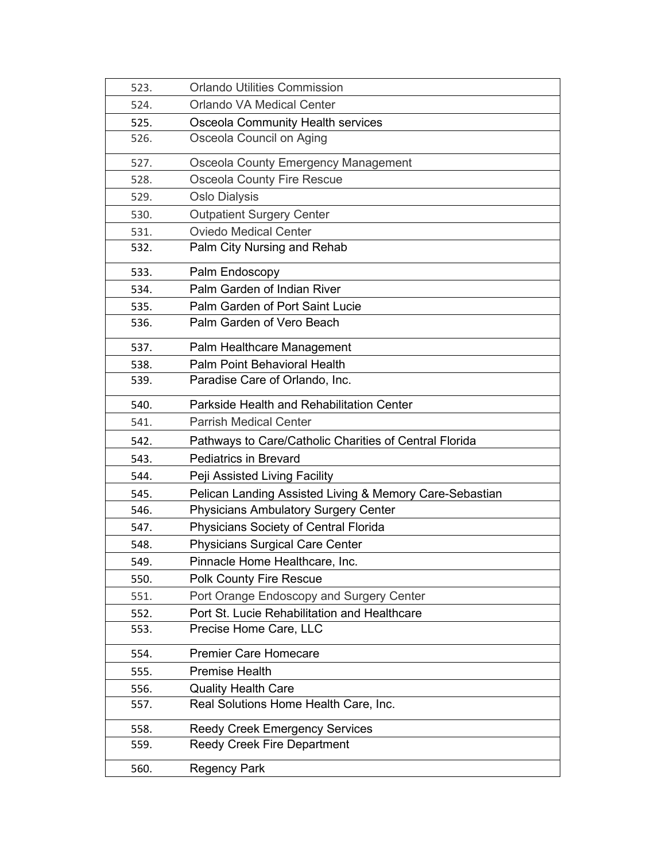| 523. | <b>Orlando Utilities Commission</b>                     |
|------|---------------------------------------------------------|
| 524. | <b>Orlando VA Medical Center</b>                        |
| 525. | Osceola Community Health services                       |
| 526. | Osceola Council on Aging                                |
| 527. | Osceola County Emergency Management                     |
| 528. | <b>Osceola County Fire Rescue</b>                       |
| 529. | <b>Oslo Dialysis</b>                                    |
| 530. | <b>Outpatient Surgery Center</b>                        |
| 531. | <b>Oviedo Medical Center</b>                            |
| 532. | Palm City Nursing and Rehab                             |
| 533. | Palm Endoscopy                                          |
| 534. | Palm Garden of Indian River                             |
| 535. | Palm Garden of Port Saint Lucie                         |
| 536. | Palm Garden of Vero Beach                               |
| 537. | Palm Healthcare Management                              |
| 538. | <b>Palm Point Behavioral Health</b>                     |
| 539. | Paradise Care of Orlando, Inc.                          |
| 540. | Parkside Health and Rehabilitation Center               |
| 541. | <b>Parrish Medical Center</b>                           |
| 542. | Pathways to Care/Catholic Charities of Central Florida  |
| 543. | <b>Pediatrics in Brevard</b>                            |
| 544. | Peji Assisted Living Facility                           |
| 545. | Pelican Landing Assisted Living & Memory Care-Sebastian |
| 546. | <b>Physicians Ambulatory Surgery Center</b>             |
| 547. | Physicians Society of Central Florida                   |
| 548. | <b>Physicians Surgical Care Center</b>                  |
| 549. | Pinnacle Home Healthcare, Inc.                          |
| 550. | <b>Polk County Fire Rescue</b>                          |
| 551. | Port Orange Endoscopy and Surgery Center                |
| 552. | Port St. Lucie Rehabilitation and Healthcare            |
| 553. | Precise Home Care, LLC                                  |
| 554. | <b>Premier Care Homecare</b>                            |
| 555. | <b>Premise Health</b>                                   |
| 556. | <b>Quality Health Care</b>                              |
| 557. | Real Solutions Home Health Care, Inc.                   |
| 558. | <b>Reedy Creek Emergency Services</b>                   |
| 559. | <b>Reedy Creek Fire Department</b>                      |
| 560. | <b>Regency Park</b>                                     |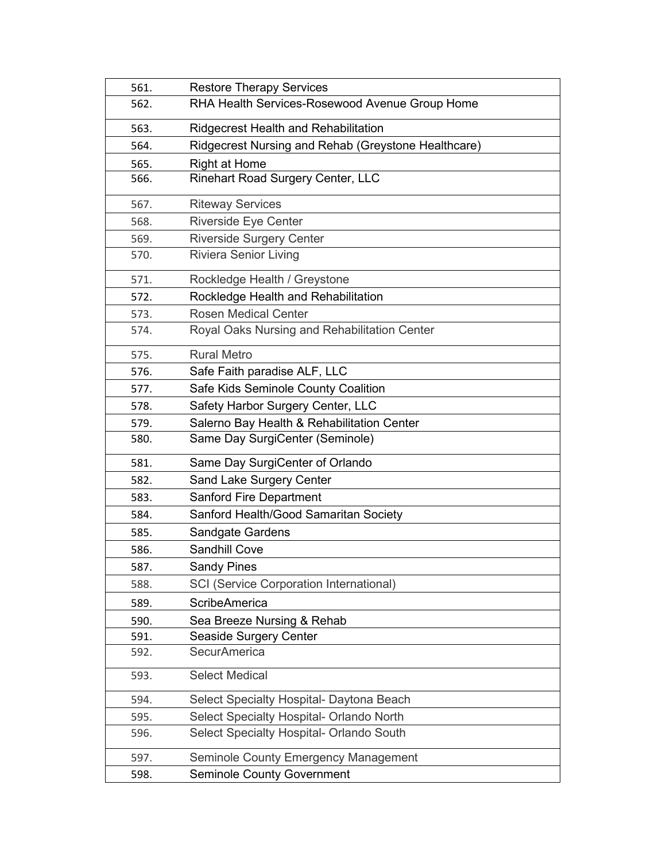| 561. | <b>Restore Therapy Services</b>                     |
|------|-----------------------------------------------------|
| 562. | RHA Health Services-Rosewood Avenue Group Home      |
| 563. | <b>Ridgecrest Health and Rehabilitation</b>         |
| 564. | Ridgecrest Nursing and Rehab (Greystone Healthcare) |
| 565. | <b>Right at Home</b>                                |
| 566. | <b>Rinehart Road Surgery Center, LLC</b>            |
| 567. | <b>Riteway Services</b>                             |
| 568. | <b>Riverside Eye Center</b>                         |
| 569. | <b>Riverside Surgery Center</b>                     |
| 570. | <b>Riviera Senior Living</b>                        |
| 571. | Rockledge Health / Greystone                        |
| 572. | Rockledge Health and Rehabilitation                 |
| 573. | <b>Rosen Medical Center</b>                         |
| 574. | Royal Oaks Nursing and Rehabilitation Center        |
| 575. | <b>Rural Metro</b>                                  |
| 576. | Safe Faith paradise ALF, LLC                        |
| 577. | Safe Kids Seminole County Coalition                 |
| 578. | Safety Harbor Surgery Center, LLC                   |
| 579. | Salerno Bay Health & Rehabilitation Center          |
| 580. | Same Day SurgiCenter (Seminole)                     |
| 581. | Same Day SurgiCenter of Orlando                     |
| 582. | Sand Lake Surgery Center                            |
| 583. | <b>Sanford Fire Department</b>                      |
| 584. | Sanford Health/Good Samaritan Society               |
| 585. | Sandgate Gardens                                    |
| 586. | <b>Sandhill Cove</b>                                |
| 587. | <b>Sandy Pines</b>                                  |
| 588. | <b>SCI (Service Corporation International)</b>      |
| 589. | <b>ScribeAmerica</b>                                |
| 590. | Sea Breeze Nursing & Rehab                          |
| 591. | Seaside Surgery Center                              |
| 592. | <b>SecurAmerica</b>                                 |
| 593. | <b>Select Medical</b>                               |
| 594. | Select Specialty Hospital- Daytona Beach            |
| 595. | Select Specialty Hospital- Orlando North            |
| 596. | Select Specialty Hospital- Orlando South            |
| 597. | Seminole County Emergency Management                |
| 598. | <b>Seminole County Government</b>                   |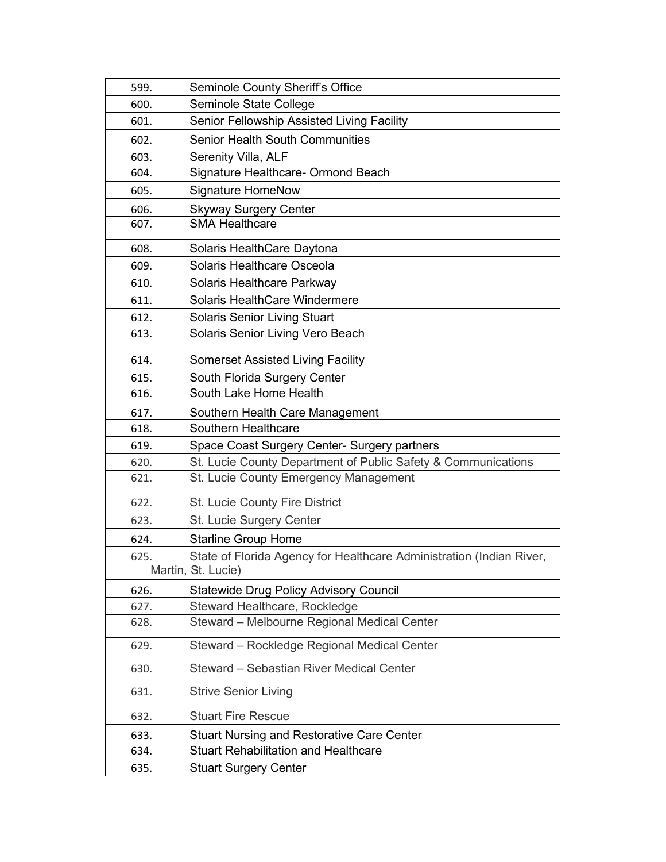| 599. | <b>Seminole County Sheriff's Office</b>                                                    |
|------|--------------------------------------------------------------------------------------------|
| 600. | Seminole State College                                                                     |
| 601. | Senior Fellowship Assisted Living Facility                                                 |
| 602. | <b>Senior Health South Communities</b>                                                     |
| 603. | Serenity Villa, ALF                                                                        |
| 604. | Signature Healthcare- Ormond Beach                                                         |
| 605. | <b>Signature HomeNow</b>                                                                   |
| 606. | <b>Skyway Surgery Center</b>                                                               |
| 607. | <b>SMA Healthcare</b>                                                                      |
| 608. | Solaris HealthCare Daytona                                                                 |
| 609. | Solaris Healthcare Osceola                                                                 |
| 610. | Solaris Healthcare Parkway                                                                 |
| 611. | Solaris HealthCare Windermere                                                              |
| 612. | <b>Solaris Senior Living Stuart</b>                                                        |
| 613. | Solaris Senior Living Vero Beach                                                           |
| 614. | <b>Somerset Assisted Living Facility</b>                                                   |
| 615. | South Florida Surgery Center                                                               |
| 616. | South Lake Home Health                                                                     |
| 617. | Southern Health Care Management                                                            |
| 618. | Southern Healthcare                                                                        |
| 619. | Space Coast Surgery Center- Surgery partners                                               |
| 620. | St. Lucie County Department of Public Safety & Communications                              |
| 621. | St. Lucie County Emergency Management                                                      |
| 622. | St. Lucie County Fire District                                                             |
| 623. | St. Lucie Surgery Center                                                                   |
| 624. | <b>Starline Group Home</b>                                                                 |
| 625. | State of Florida Agency for Healthcare Administration (Indian River,<br>Martin, St. Lucie) |
| 626. | <b>Statewide Drug Policy Advisory Council</b>                                              |
| 627. | Steward Healthcare, Rockledge                                                              |
| 628. | Steward - Melbourne Regional Medical Center                                                |
| 629. | Steward - Rockledge Regional Medical Center                                                |
| 630. | Steward - Sebastian River Medical Center                                                   |
| 631. | <b>Strive Senior Living</b>                                                                |
| 632. | <b>Stuart Fire Rescue</b>                                                                  |
| 633. | <b>Stuart Nursing and Restorative Care Center</b>                                          |
| 634. | <b>Stuart Rehabilitation and Healthcare</b>                                                |
| 635. | <b>Stuart Surgery Center</b>                                                               |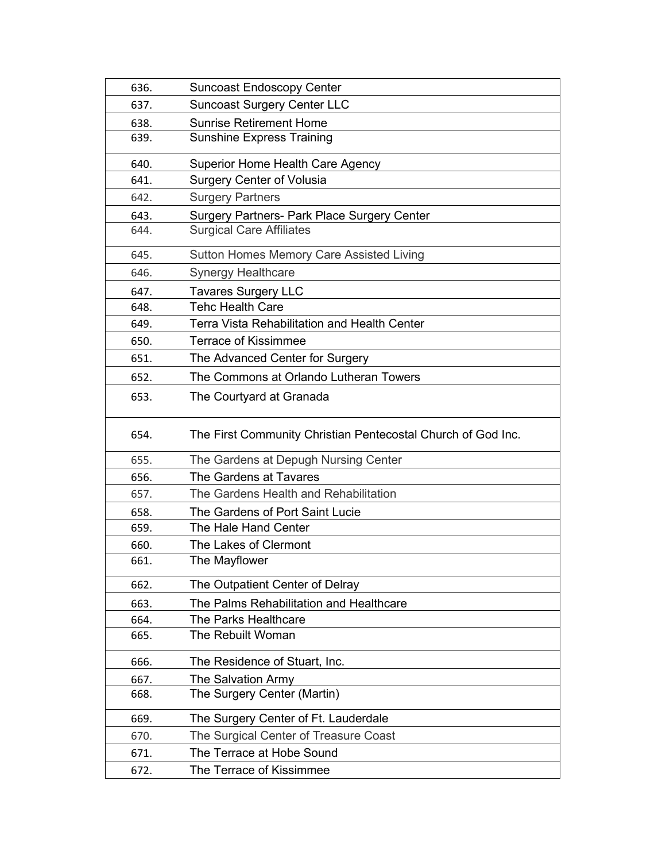| 636. | <b>Suncoast Endoscopy Center</b>                             |
|------|--------------------------------------------------------------|
| 637. | <b>Suncoast Surgery Center LLC</b>                           |
| 638. | <b>Sunrise Retirement Home</b>                               |
| 639. | <b>Sunshine Express Training</b>                             |
| 640. | <b>Superior Home Health Care Agency</b>                      |
| 641. | <b>Surgery Center of Volusia</b>                             |
| 642. | <b>Surgery Partners</b>                                      |
| 643. | <b>Surgery Partners- Park Place Surgery Center</b>           |
| 644. | <b>Surgical Care Affiliates</b>                              |
| 645. | Sutton Homes Memory Care Assisted Living                     |
| 646. | <b>Synergy Healthcare</b>                                    |
| 647. | <b>Tavares Surgery LLC</b>                                   |
| 648. | <b>Tehc Health Care</b>                                      |
| 649. | Terra Vista Rehabilitation and Health Center                 |
| 650. | <b>Terrace of Kissimmee</b>                                  |
| 651. | The Advanced Center for Surgery                              |
| 652. | The Commons at Orlando Lutheran Towers                       |
| 653. | The Courtyard at Granada                                     |
| 654. | The First Community Christian Pentecostal Church of God Inc. |
| 655. | The Gardens at Depugh Nursing Center                         |
| 656. | The Gardens at Tavares                                       |
| 657. | The Gardens Health and Rehabilitation                        |
| 658. | The Gardens of Port Saint Lucie                              |
| 659. | The Hale Hand Center                                         |
| 660. | The Lakes of Clermont                                        |
| 661. | The Mayflower                                                |
| 662. | The Outpatient Center of Delray                              |
| 663. | The Palms Rehabilitation and Healthcare                      |
| 664. | The Parks Healthcare                                         |
| 665. | The Rebuilt Woman                                            |
| 666. | The Residence of Stuart, Inc.                                |
| 667. | The Salvation Army                                           |
| 668. | The Surgery Center (Martin)                                  |
| 669. | The Surgery Center of Ft. Lauderdale                         |
| 670. | The Surgical Center of Treasure Coast                        |
| 671. | The Terrace at Hobe Sound                                    |
| 672. | The Terrace of Kissimmee                                     |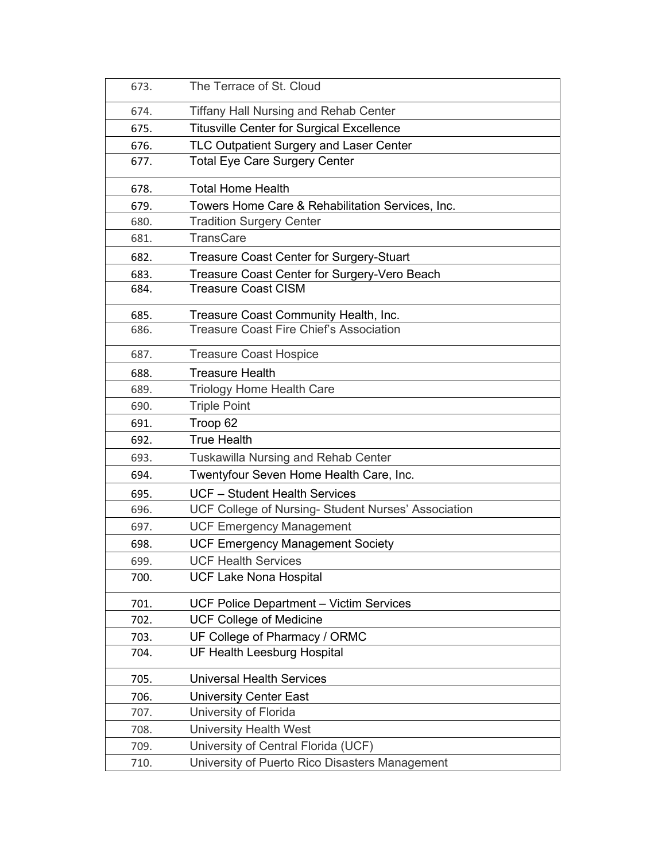| 673. | The Terrace of St. Cloud                            |
|------|-----------------------------------------------------|
| 674. | <b>Tiffany Hall Nursing and Rehab Center</b>        |
| 675. | <b>Titusville Center for Surgical Excellence</b>    |
| 676. | TLC Outpatient Surgery and Laser Center             |
| 677. | <b>Total Eye Care Surgery Center</b>                |
| 678. | <b>Total Home Health</b>                            |
| 679. | Towers Home Care & Rehabilitation Services, Inc.    |
| 680. | <b>Tradition Surgery Center</b>                     |
| 681. | <b>TransCare</b>                                    |
| 682. | <b>Treasure Coast Center for Surgery-Stuart</b>     |
| 683. | Treasure Coast Center for Surgery-Vero Beach        |
| 684. | <b>Treasure Coast CISM</b>                          |
| 685. | Treasure Coast Community Health, Inc.               |
| 686. | <b>Treasure Coast Fire Chief's Association</b>      |
| 687. | <b>Treasure Coast Hospice</b>                       |
| 688. | <b>Treasure Health</b>                              |
| 689. | <b>Triology Home Health Care</b>                    |
| 690. | <b>Triple Point</b>                                 |
| 691. | Troop 62                                            |
| 692. | <b>True Health</b>                                  |
| 693. | <b>Tuskawilla Nursing and Rehab Center</b>          |
| 694. | Twentyfour Seven Home Health Care, Inc.             |
| 695. | <b>UCF</b> - Student Health Services                |
| 696. | UCF College of Nursing- Student Nurses' Association |
| 697. | <b>UCF Emergency Management</b>                     |
| 698. | <b>UCF Emergency Management Society</b>             |
| 699. | <b>UCF Health Services</b>                          |
| 700. | <b>UCF Lake Nona Hospital</b>                       |
| 701. | <b>UCF Police Department - Victim Services</b>      |
| 702. | <b>UCF College of Medicine</b>                      |
| 703. | UF College of Pharmacy / ORMC                       |
| 704. | <b>UF Health Leesburg Hospital</b>                  |
| 705. | <b>Universal Health Services</b>                    |
| 706. | <b>University Center East</b>                       |
| 707. | University of Florida                               |
| 708. | <b>University Health West</b>                       |
| 709. | University of Central Florida (UCF)                 |
| 710. | University of Puerto Rico Disasters Management      |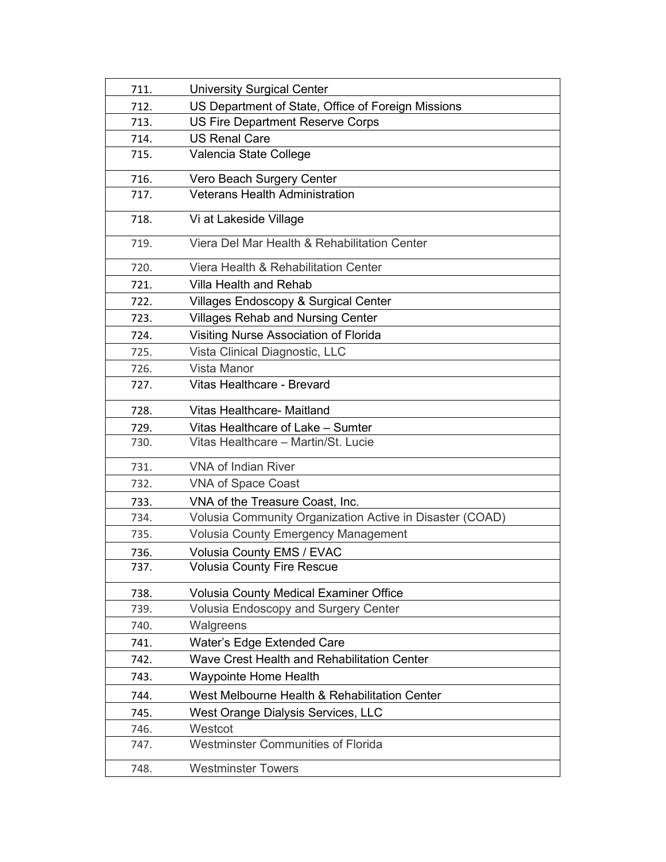| 711. | <b>University Surgical Center</b>                        |
|------|----------------------------------------------------------|
| 712. | US Department of State, Office of Foreign Missions       |
| 713. | US Fire Department Reserve Corps                         |
| 714. | <b>US Renal Care</b>                                     |
| 715. | Valencia State College                                   |
| 716. | Vero Beach Surgery Center                                |
| 717. | <b>Veterans Health Administration</b>                    |
| 718. | Vi at Lakeside Village                                   |
| 719. | Viera Del Mar Health & Rehabilitation Center             |
| 720. | Viera Health & Rehabilitation Center                     |
| 721. | <b>Villa Health and Rehab</b>                            |
| 722. | <b>Villages Endoscopy &amp; Surgical Center</b>          |
| 723. | <b>Villages Rehab and Nursing Center</b>                 |
| 724. | Visiting Nurse Association of Florida                    |
| 725. | Vista Clinical Diagnostic, LLC                           |
| 726. | Vista Manor                                              |
| 727. | Vitas Healthcare - Brevard                               |
| 728. | Vitas Healthcare- Maitland                               |
| 729. | Vitas Healthcare of Lake - Sumter                        |
| 730. | Vitas Healthcare - Martin/St. Lucie                      |
| 731. | <b>VNA of Indian River</b>                               |
| 732. | <b>VNA of Space Coast</b>                                |
| 733. | VNA of the Treasure Coast, Inc.                          |
| 734. | Volusia Community Organization Active in Disaster (COAD) |
| 735. | Volusia County Emergency Management                      |
| 736. | Volusia County EMS / EVAC                                |
| 737. | <b>Volusia County Fire Rescue</b>                        |
| 738. | <b>Volusia County Medical Examiner Office</b>            |
| 739. | <b>Volusia Endoscopy and Surgery Center</b>              |
| 740. | Walgreens                                                |
| 741. | Water's Edge Extended Care                               |
| 742. | Wave Crest Health and Rehabilitation Center              |
| 743. | <b>Waypointe Home Health</b>                             |
| 744. | West Melbourne Health & Rehabilitation Center            |
| 745. | West Orange Dialysis Services, LLC                       |
| 746. | Westcot                                                  |
| 747. | <b>Westminster Communities of Florida</b>                |
| 748. | <b>Westminster Towers</b>                                |